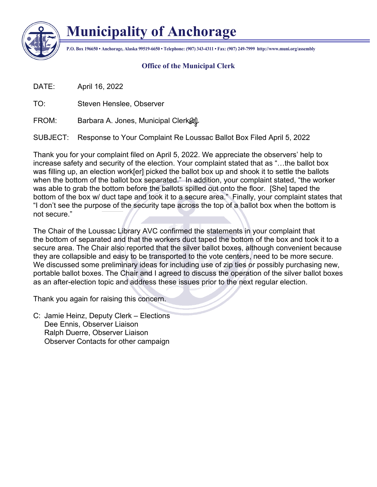

## **Municipality of Anchorage**

**P.O. Box 196650 • Anchorage, Alaska 99519-6650 • Telephone: (907) 343-4311 • Fax: (907) 249-7999 http://www.muni.org/assembly**

## **Office of the Municipal Clerk**

DATE: April 16, 2022

TO: Steven Henslee, Observer

FROM: Barbara A. Jones, Municipal Clerk $\mathscr{A}$ 

SUBJECT: Response to Your Complaint Re Loussac Ballot Box Filed April 5, 2022

Thank you for your complaint filed on April 5, 2022. We appreciate the observers' help to increase safety and security of the election. Your complaint stated that as "…the ballot box was filling up, an election work[er] picked the ballot box up and shook it to settle the ballots when the bottom of the ballot box separated." In addition, your complaint stated, "the worker was able to grab the bottom before the ballots spilled out onto the floor. [She] taped the bottom of the box w/ duct tape and took it to a secure area." Finally, your complaint states that "I don't see the purpose of the security tape across the top of a ballot box when the bottom is not secure."

The Chair of the Loussac Library AVC confirmed the statements in your complaint that the bottom of separated and that the workers duct taped the bottom of the box and took it to a secure area. The Chair also reported that the silver ballot boxes, although convenient because they are collapsible and easy to be transported to the vote centers, need to be more secure. We discussed some preliminary ideas for including use of zip ties or possibly purchasing new, portable ballot boxes. The Chair and I agreed to discuss the operation of the silver ballot boxes as an after-election topic and address these issues prior to the next regular election.

Thank you again for raising this concern.

C: Jamie Heinz, Deputy Clerk – Elections Dee Ennis, Observer Liaison Ralph Duerre, Observer Liaison Observer Contacts for other campaign